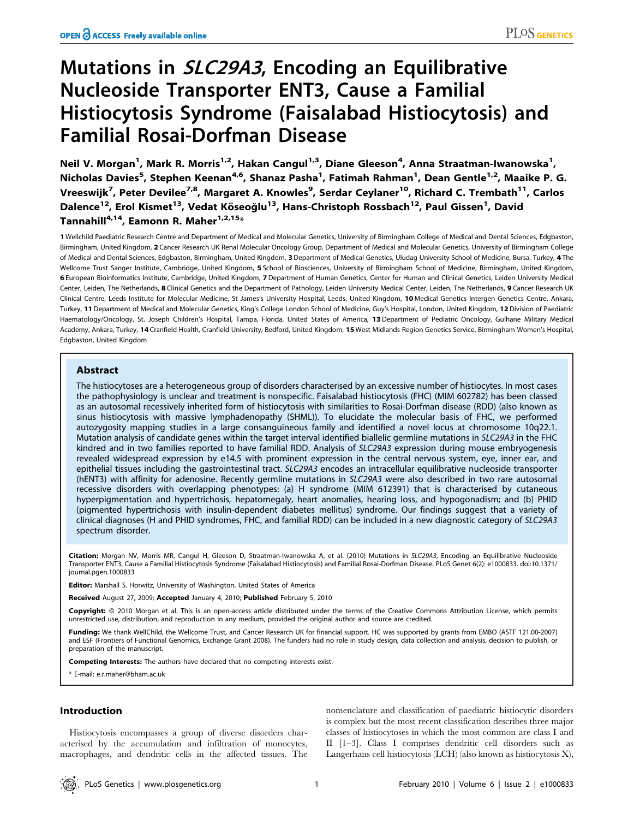# Mutations in SLC29A3, Encoding an Equilibrative Nucleoside Transporter ENT3, Cause a Familial Histiocytosis Syndrome (Faisalabad Histiocytosis) and Familial Rosai-Dorfman Disease

Neil V. Morgan<sup>1</sup>, Mark R. Morris<sup>1,2</sup>, Hakan Cangul<sup>1,3</sup>, Diane Gleeson<sup>4</sup>, Anna Straatman-Iwanowska<sup>1</sup>, Nicholas Davies<sup>5</sup>, Stephen Keenan<sup>4,6</sup>, Shanaz Pasha<sup>1</sup>, Fatimah Rahman<sup>1</sup>, Dean Gentle<sup>1,2</sup>, Maaike P. G. Vreeswijk<sup>7</sup>, Peter Devilee<sup>7,8</sup>, Margaret A. Knowles<sup>9</sup>, Serdar Ceylaner<sup>10</sup>, Richard C. Trembath<sup>11</sup>, Carlos Dalence<sup>12</sup>, Erol Kismet<sup>13</sup>, Vedat Köseoğlu<sup>13</sup>, Hans-Christoph Rossbach<sup>12</sup>, Paul Gissen<sup>1</sup>, David Tannahill<sup>4,14</sup>, Eamonn R. Maher<sup>1,2,15</sup>\*

1 Wellchild Paediatric Research Centre and Department of Medical and Molecular Genetics, University of Birmingham College of Medical and Dental Sciences, Edgbaston, Birmingham, United Kingdom, 2 Cancer Research UK Renal Molecular Oncology Group, Department of Medical and Molecular Genetics, University of Birmingham College of Medical and Dental Sciences, Edgbaston, Birmingham, United Kingdom, 3 Department of Medical Genetics, Uludag University School of Medicine, Bursa, Turkey, 4 The Wellcome Trust Sanger Institute, Cambridge, United Kingdom, 5 School of Biosciences, University of Birmingham School of Medicine, Birmingham, United Kingdom, 6 European Bioinformatics Institute, Cambridge, United Kingdom, 7 Department of Human Genetics, Center for Human and Clinical Genetics, Leiden University Medical Center, Leiden, The Netherlands, 8 Clinical Genetics and the Department of Pathology, Leiden University Medical Center, Leiden, The Netherlands, 9 Cancer Research UK Clinical Centre, Leeds Institute for Molecular Medicine, St James's University Hospital, Leeds, United Kingdom, 10 Medical Genetics Intergen Genetics Centre, Ankara, Turkey, 11 Department of Medical and Molecular Genetics, King's College London School of Medicine, Guy's Hospital, London, United Kingdom, 12 Division of Paediatric Haematology/Oncology, St. Joseph Children's Hospital, Tampa, Florida, United States of America, 13 Department of Pediatric Oncology, Gulhane Military Medical Academy, Ankara, Turkey, 14 Cranfield Health, Cranfield University, Bedford, United Kingdom, 15 West Midlands Region Genetics Service, Birmingham Women's Hospital, Edgbaston, United Kingdom

# Abstract

The histiocytoses are a heterogeneous group of disorders characterised by an excessive number of histiocytes. In most cases the pathophysiology is unclear and treatment is nonspecific. Faisalabad histiocytosis (FHC) (MIM 602782) has been classed as an autosomal recessively inherited form of histiocytosis with similarities to Rosai-Dorfman disease (RDD) (also known as sinus histiocytosis with massive lymphadenopathy (SHML)). To elucidate the molecular basis of FHC, we performed autozygosity mapping studies in a large consanguineous family and identified a novel locus at chromosome 10q22.1. Mutation analysis of candidate genes within the target interval identified biallelic germline mutations in SLC29A3 in the FHC kindred and in two families reported to have familial RDD. Analysis of SLC29A3 expression during mouse embryogenesis revealed widespread expression by e14.5 with prominent expression in the central nervous system, eye, inner ear, and epithelial tissues including the gastrointestinal tract. SLC29A3 encodes an intracellular equilibrative nucleoside transporter (hENT3) with affinity for adenosine. Recently germline mutations in SLC29A3 were also described in two rare autosomal recessive disorders with overlapping phenotypes: (a) H syndrome (MIM 612391) that is characterised by cutaneous hyperpigmentation and hypertrichosis, hepatomegaly, heart anomalies, hearing loss, and hypogonadism; and (b) PHID (pigmented hypertrichosis with insulin-dependent diabetes mellitus) syndrome. Our findings suggest that a variety of clinical diagnoses (H and PHID syndromes, FHC, and familial RDD) can be included in a new diagnostic category of SLC29A3 spectrum disorder.

Citation: Morgan NV, Morris MR, Cangul H, Gleeson D, Straatman-Iwanowska A, et al. (2010) Mutations in SLC29A3, Encoding an Equilibrative Nucleoside Transporter ENT3, Cause a Familial Histiocytosis Syndrome (Faisalabad Histiocytosis) and Familial Rosai-Dorfman Disease. PLoS Genet 6(2): e1000833. doi:10.1371/ journal.pgen.1000833

**Editor:** Marshall S. Horwitz, University of Washington, United States of America

Received August 27, 2009; Accepted January 4, 2010; Published February 5, 2010

Copyright: @ 2010 Morgan et al. This is an open-access article distributed under the terms of the Creative Commons Attribution License, which permits unrestricted use, distribution, and reproduction in any medium, provided the original author and source are credited.

Funding: We thank WellChild, the Wellcome Trust, and Cancer Research UK for financial support. HC was supported by grants from EMBO (ASTF 121.00-2007) and ESF (Frontiers of Functional Genomics, Exchange Grant 2008). The funders had no role in study design, data collection and analysis, decision to publish, or preparation of the manuscript.

Competing Interests: The authors have declared that no competing interests exist.

\* E-mail: e.r.maher@bham.ac.uk

## Introduction

Histiocytosis encompasses a group of diverse disorders characterised by the accumulation and infiltration of monocytes, macrophages, and dendritic cells in the affected tissues. The nomenclature and classification of paediatric histiocytic disorders is complex but the most recent classification describes three major classes of histiocytoses in which the most common are class I and II [1–3]. Class I comprises dendritic cell disorders such as Langerhans cell histiocytosis (LCH) (also known as histiocytosis X),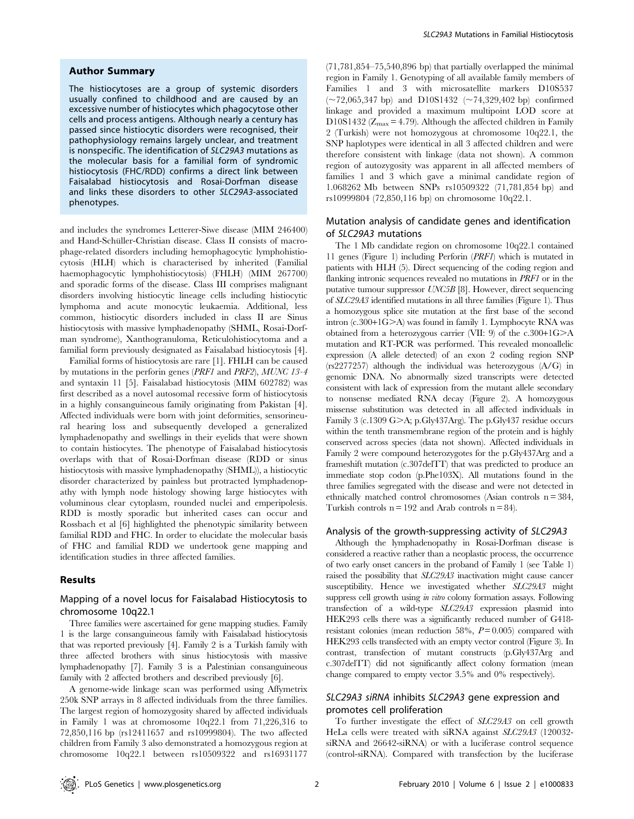#### Author Summary

The histiocytoses are a group of systemic disorders usually confined to childhood and are caused by an excessive number of histiocytes which phagocytose other cells and process antigens. Although nearly a century has passed since histiocytic disorders were recognised, their pathophysiology remains largely unclear, and treatment is nonspecific. The identification of SLC29A3 mutations as the molecular basis for a familial form of syndromic histiocytosis (FHC/RDD) confirms a direct link between Faisalabad histiocytosis and Rosai-Dorfman disease and links these disorders to other SLC29A3-associated phenotypes.

and includes the syndromes Letterer-Siwe disease (MIM 246400) and Hand-Schüller-Christian disease. Class II consists of macrophage-related disorders including hemophagocytic lymphohistiocytosis (HLH) which is characterised by inherited (Familial haemophagocytic lymphohistiocytosis) (FHLH) (MIM 267700) and sporadic forms of the disease. Class III comprises malignant disorders involving histiocytic lineage cells including histiocytic lymphoma and acute monocytic leukaemia. Additional, less common, histiocytic disorders included in class II are Sinus histiocytosis with massive lymphadenopathy (SHML, Rosai-Dorfman syndrome), Xanthogranuloma, Reticulohistiocytoma and a familial form previously designated as Faisalabad histiocytosis [4].

Familial forms of histiocytosis are rare [1]. FHLH can be caused by mutations in the perforin genes (PRF1 and PRF2), MUNC 13-4 and syntaxin 11 [5]. Faisalabad histiocytosis (MIM 602782) was first described as a novel autosomal recessive form of histiocytosis in a highly consanguineous family originating from Pakistan [4]. Affected individuals were born with joint deformities, sensorineural hearing loss and subsequently developed a generalized lymphadenopathy and swellings in their eyelids that were shown to contain histiocytes. The phenotype of Faisalabad histiocytosis overlaps with that of Rosai-Dorfman disease (RDD or sinus histiocytosis with massive lymphadenopathy (SHML)), a histiocytic disorder characterized by painless but protracted lymphadenopathy with lymph node histology showing large histiocytes with voluminous clear cytoplasm, rounded nuclei and emperipolesis. RDD is mostly sporadic but inherited cases can occur and Rossbach et al [6] highlighted the phenotypic similarity between familial RDD and FHC. In order to elucidate the molecular basis of FHC and familial RDD we undertook gene mapping and identification studies in three affected families.

# Results

# Mapping of a novel locus for Faisalabad Histiocytosis to chromosome 10q22.1

Three families were ascertained for gene mapping studies. Family 1 is the large consanguineous family with Faisalabad histiocytosis that was reported previously [4]. Family 2 is a Turkish family with three affected brothers with sinus histiocytosis with massive lymphadenopathy [7]. Family 3 is a Palestinian consanguineous family with 2 affected brothers and described previously [6].

A genome-wide linkage scan was performed using Affymetrix 250k SNP arrays in 8 affected individuals from the three families. The largest region of homozygosity shared by affected individuals in Family 1 was at chromosome 10q22.1 from 71,226,316 to 72,850,116 bp (rs12411657 and rs10999804). The two affected children from Family 3 also demonstrated a homozygous region at chromosome 10q22.1 between rs10509322 and rs16931177

(71,781,854–75,540,896 bp) that partially overlapped the minimal region in Family 1. Genotyping of all available family members of Families 1 and 3 with microsatellite markers D10S537  $(\sim 72,065,347 \text{ bp})$  and D10S1432 ( $\sim 74,329,402 \text{ bp}$ ) confirmed linkage and provided a maximum multipoint LOD score at D10S1432 ( $Z_{\text{max}}$  = 4.79). Although the affected children in Family 2 (Turkish) were not homozygous at chromosome 10q22.1, the SNP haplotypes were identical in all 3 affected children and were therefore consistent with linkage (data not shown). A common region of autozygosity was apparent in all affected members of families 1 and 3 which gave a minimal candidate region of 1.068262 Mb between SNPs rs10509322 (71,781,854 bp) and rs10999804 (72,850,116 bp) on chromosome 10q22.1.

# Mutation analysis of candidate genes and identification of SLC29A3 mutations

The 1 Mb candidate region on chromosome 10q22.1 contained 11 genes (Figure 1) including Perforin (PRF1) which is mutated in patients with HLH (5). Direct sequencing of the coding region and flanking intronic sequences revealed no mutations in PRF1 or in the putative tumour suppressor UNC5B [8]. However, direct sequencing of SLC29A3 identified mutations in all three families (Figure 1). Thus a homozygous splice site mutation at the first base of the second intron (c.300+1G>A) was found in family 1. Lymphocyte RNA was obtained from a heterozygous carrier (VII: 9) of the  $c.300+1G>A$ mutation and RT-PCR was performed. This revealed monoallelic expression (A allele detected) of an exon 2 coding region SNP (rs2277257) although the individual was heterozygous (A/G) in genomic DNA. No abnormally sized transcripts were detected consistent with lack of expression from the mutant allele secondary to nonsense mediated RNA decay (Figure 2). A homozygous missense substitution was detected in all affected individuals in Family 3 (c.1309 G $\geq$ A; p.Gly437Arg). The p.Gly437 residue occurs within the tenth transmembrane region of the protein and is highly conserved across species (data not shown). Affected individuals in Family 2 were compound heterozygotes for the p.Gly437Arg and a frameshift mutation (c.307delTT) that was predicted to produce an immediate stop codon (p.Phe103X). All mutations found in the three families segregated with the disease and were not detected in ethnically matched control chromosomes (Asian controls  $n = 384$ , Turkish controls  $n = 192$  and Arab controls  $n = 84$ .

#### Analysis of the growth-suppressing activity of SLC29A3

Although the lymphadenopathy in Rosai-Dorfman disease is considered a reactive rather than a neoplastic process, the occurrence of two early onset cancers in the proband of Family 1 (see Table 1) raised the possibility that SLC29A3 inactivation might cause cancer susceptibility. Hence we investigated whether SLC29A3 might suppress cell growth using *in vitro* colony formation assays. Following transfection of a wild-type SLC29A3 expression plasmid into HEK293 cells there was a significantly reduced number of G418 resistant colonies (mean reduction 58%,  $P=0.005$ ) compared with HEK293 cells transfected with an empty vector control (Figure 3). In contrast, transfection of mutant constructs (p.Gly437Arg and c.307delTT) did not significantly affect colony formation (mean change compared to empty vector 3.5% and 0% respectively).

# SLC29A3 siRNA inhibits SLC29A3 gene expression and promotes cell proliferation

To further investigate the effect of SLC29A3 on cell growth HeLa cells were treated with siRNA against SLC29A3 (120032 siRNA and 26642-siRNA) or with a luciferase control sequence (control-siRNA). Compared with transfection by the luciferase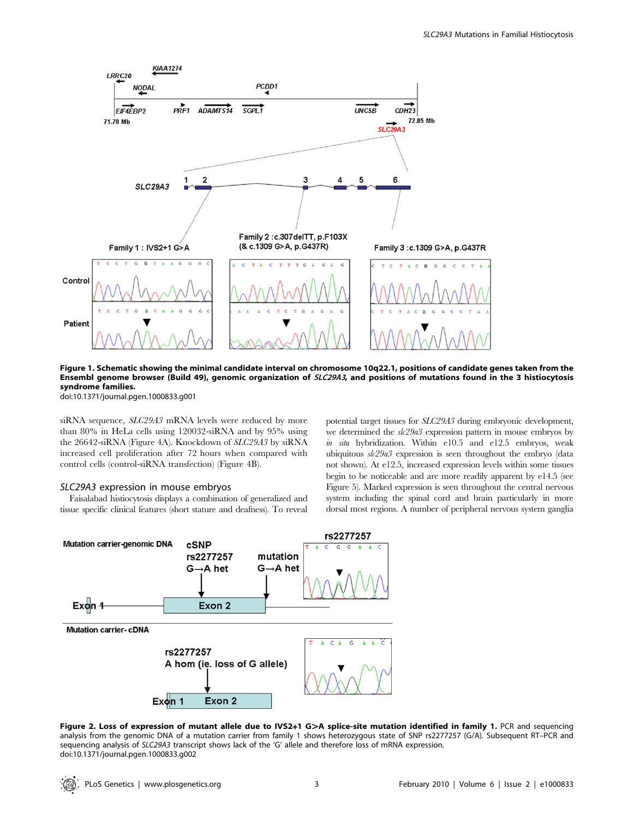

Figure 1. Schematic showing the minimal candidate interval on chromosome 10q22.1, positions of candidate genes taken from the Ensembl genome browser (Build 49), genomic organization of SLC29A3, and positions of mutations found in the 3 histiocytosis syndrome families.

doi:10.1371/journal.pgen.1000833.g001

siRNA sequence, SLC29A3 mRNA levels were reduced by more than 80% in HeLa cells using 120032-siRNA and by 95% using the 26642-siRNA (Figure 4A). Knockdown of SLC29A3 by siRNA increased cell proliferation after 72 hours when compared with control cells (control-siRNA transfection) (Figure 4B).

#### SLC29A3 expression in mouse embryos

Faisalabad histiocytosis displays a combination of generalized and tissue specific clinical features (short stature and deafness). To reveal potential target tissues for SLC29A3 during embryonic development, we determined the  $\frac{sk29a3}{k}$  expression pattern in mouse embryos by in situ hybridization. Within e10.5 and e12.5 embryos, weak ubiquitous slc29a3 expression is seen throughout the embryo (data not shown). At e12.5, increased expression levels within some tissues begin to be noticeable and are more readily apparent by e14.5 (see Figure 5). Marked expression is seen throughout the central nervous system including the spinal cord and brain particularly in more dorsal most regions. A number of peripheral nervous system ganglia



Figure 2. Loss of expression of mutant allele due to IVS2+1 G>A splice-site mutation identified in family 1. PCR and sequencing analysis from the genomic DNA of a mutation carrier from family 1 shows heterozygous state of SNP rs2277257 (G/A). Subsequent RT–PCR and sequencing analysis of SLC29A3 transcript shows lack of the 'G' allele and therefore loss of mRNA expression. doi:10.1371/journal.pgen.1000833.g002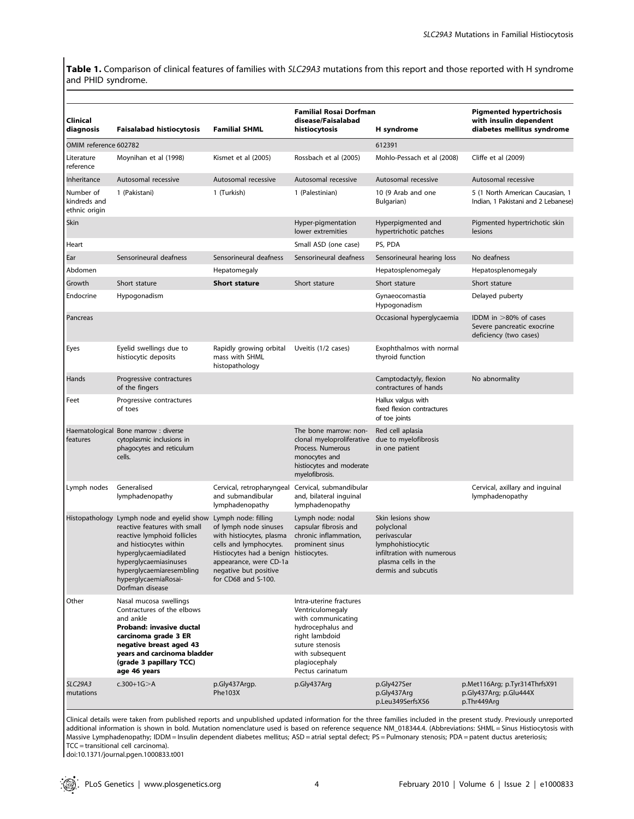Table 1. Comparison of clinical features of families with SLC29A3 mutations from this report and those reported with H syndrome and PHID syndrome.

| Clinical<br>diagnosis                      | <b>Faisalabad histiocytosis</b>                                                                                                                                                                                                                             | <b>Familial SHML</b>                                                                                                                                                                                                  | <b>Familial Rosai Dorfman</b><br>disease/Faisalabad<br>histiocytosis                                                                                                                | H syndrome                                                                                                                                       | <b>Pigmented hypertrichosis</b><br>with insulin dependent<br>diabetes mellitus syndrome |
|--------------------------------------------|-------------------------------------------------------------------------------------------------------------------------------------------------------------------------------------------------------------------------------------------------------------|-----------------------------------------------------------------------------------------------------------------------------------------------------------------------------------------------------------------------|-------------------------------------------------------------------------------------------------------------------------------------------------------------------------------------|--------------------------------------------------------------------------------------------------------------------------------------------------|-----------------------------------------------------------------------------------------|
| OMIM reference 602782                      |                                                                                                                                                                                                                                                             |                                                                                                                                                                                                                       |                                                                                                                                                                                     | 612391                                                                                                                                           |                                                                                         |
| Literature<br>reference                    | Moynihan et al (1998)                                                                                                                                                                                                                                       | Kismet et al (2005)                                                                                                                                                                                                   | Rossbach et al (2005)                                                                                                                                                               | Mohlo-Pessach et al (2008)                                                                                                                       | Cliffe et al (2009)                                                                     |
| Inheritance                                | Autosomal recessive                                                                                                                                                                                                                                         | Autosomal recessive                                                                                                                                                                                                   | Autosomal recessive                                                                                                                                                                 | Autosomal recessive                                                                                                                              | Autosomal recessive                                                                     |
| Number of<br>kindreds and<br>ethnic origin | 1 (Pakistani)                                                                                                                                                                                                                                               | 1 (Turkish)                                                                                                                                                                                                           | 1 (Palestinian)                                                                                                                                                                     | 10 (9 Arab and one<br>Bulgarian)                                                                                                                 | 5 (1 North American Caucasian, 1<br>Indian, 1 Pakistani and 2 Lebanese)                 |
| Skin                                       |                                                                                                                                                                                                                                                             |                                                                                                                                                                                                                       | Hyper-pigmentation<br>lower extremities                                                                                                                                             | Hyperpigmented and<br>hypertrichotic patches                                                                                                     | Pigmented hypertrichotic skin<br>lesions                                                |
| Heart                                      |                                                                                                                                                                                                                                                             |                                                                                                                                                                                                                       | Small ASD (one case)                                                                                                                                                                | PS, PDA                                                                                                                                          |                                                                                         |
| Ear                                        | Sensorineural deafness                                                                                                                                                                                                                                      | Sensorineural deafness                                                                                                                                                                                                | Sensorineural deafness                                                                                                                                                              | Sensorineural hearing loss                                                                                                                       | No deafness                                                                             |
| Abdomen                                    |                                                                                                                                                                                                                                                             | Hepatomegaly                                                                                                                                                                                                          |                                                                                                                                                                                     | Hepatosplenomegaly                                                                                                                               | Hepatosplenomegaly                                                                      |
| Growth                                     | Short stature                                                                                                                                                                                                                                               | <b>Short stature</b>                                                                                                                                                                                                  | Short stature                                                                                                                                                                       | Short stature                                                                                                                                    | Short stature                                                                           |
| Endocrine                                  | Hypogonadism                                                                                                                                                                                                                                                |                                                                                                                                                                                                                       |                                                                                                                                                                                     | Gynaeocomastia<br>Hypogonadism                                                                                                                   | Delayed puberty                                                                         |
| Pancreas                                   |                                                                                                                                                                                                                                                             |                                                                                                                                                                                                                       |                                                                                                                                                                                     | Occasional hyperglycaemia                                                                                                                        | IDDM in $>80\%$ of cases<br>Severe pancreatic exocrine<br>deficiency (two cases)        |
| Eyes                                       | Eyelid swellings due to<br>histiocytic deposits                                                                                                                                                                                                             | Rapidly growing orbital<br>mass with SHML<br>histopathology                                                                                                                                                           | Uveitis (1/2 cases)                                                                                                                                                                 | Exophthalmos with normal<br>thyroid function                                                                                                     |                                                                                         |
| Hands                                      | Progressive contractures<br>of the fingers                                                                                                                                                                                                                  |                                                                                                                                                                                                                       |                                                                                                                                                                                     | Camptodactyly, flexion<br>contractures of hands                                                                                                  | No abnormality                                                                          |
| Feet                                       | Progressive contractures<br>of toes                                                                                                                                                                                                                         |                                                                                                                                                                                                                       |                                                                                                                                                                                     | Hallux valgus with<br>fixed flexion contractures<br>of toe joints                                                                                |                                                                                         |
| features                                   | Haematological Bone marrow : diverse<br>cytoplasmic inclusions in<br>phagocytes and reticulum<br>cells.                                                                                                                                                     |                                                                                                                                                                                                                       | The bone marrow: non-<br>clonal myeloproliferative<br>Process. Numerous<br>monocytes and<br>histiocytes and moderate<br>myelofibrosis.                                              | Red cell aplasia<br>due to myelofibrosis<br>in one patient                                                                                       |                                                                                         |
| Lymph nodes                                | Generalised<br>lymphadenopathy                                                                                                                                                                                                                              | Cervical, retropharyngeal Cervical, submandibular<br>and submandibular<br>lymphadenopathy                                                                                                                             | and, bilateral inguinal<br>lymphadenopathy                                                                                                                                          |                                                                                                                                                  | Cervical, axillary and inguinal<br>lymphadenopathy                                      |
|                                            | Histopathology Lymph node and eyelid show<br>reactive features with small<br>reactive lymphoid follicles<br>and histiocytes within<br>hyperglycaemiadilated<br>hyperglycaemiasinuses<br>hyperglycaemiaresembling<br>hyperglycaemiaRosai-<br>Dorfman disease | Lymph node: filling<br>of lymph node sinuses<br>with histiocytes, plasma<br>cells and lymphocytes.<br>Histiocytes had a benign histiocytes.<br>appearance, were CD-1a<br>negative but positive<br>for CD68 and S-100. | Lymph node: nodal<br>capsular fibrosis and<br>chronic inflammation,<br>prominent sinus                                                                                              | Skin lesions show<br>polyclonal<br>perivascular<br>lymphohistiocytic<br>infiltration with numerous<br>plasma cells in the<br>dermis and subcutis |                                                                                         |
| Other                                      | Nasal mucosa swellings<br>Contractures of the elbows<br>and ankle<br>Proband: invasive ductal<br>carcinoma grade 3 ER<br>negative breast aged 43<br>years and carcinoma bladder<br>(grade 3 papillary TCC)<br>age 46 years                                  |                                                                                                                                                                                                                       | Intra-uterine fractures<br>Ventriculomegaly<br>with communicating<br>hydrocephalus and<br>right lambdoid<br>suture stenosis<br>with subsequent<br>plagiocephaly<br>Pectus carinatum |                                                                                                                                                  |                                                                                         |
| <b>SLC29A3</b><br>mutations                | $c.300+1G > A$                                                                                                                                                                                                                                              | p.Gly437Argp.<br><b>Phe103X</b>                                                                                                                                                                                       | p.Gly437Arg                                                                                                                                                                         | p.Gly427Ser<br>p.Gly437Arg<br>p.Leu349SerfsX56                                                                                                   | p.Met116Arg; p.Tyr314ThrfsX91<br>p.Gly437Arg; p.Glu444X<br>p.Thr449Arg                  |

Clinical details were taken from published reports and unpublished updated information for the three families included in the present study. Previously unreported additional information is shown in bold. Mutation nomenclature used is based on reference sequence NM\_018344.4. (Abbreviations: SHML = Sinus Histiocytosis with Massive Lymphadenopathy; IDDM = Insulin dependent diabetes mellitus; ASD = atrial septal defect; PS = Pulmonary stenosis; PDA = patent ductus areteriosis; TCC = transitional cell carcinoma).

doi:10.1371/journal.pgen.1000833.t001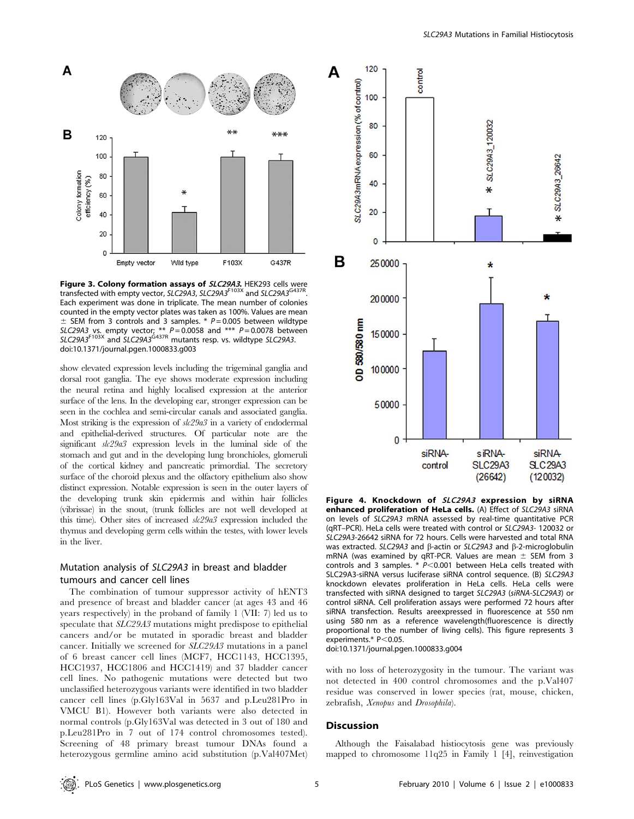

Figure 3. Colony formation assays of SLC29A3. HEK293 cells were transfected with empty vector, SLC29A3, SLC29A3<sup>F103X</sup> and SLC29A3<sup>G437R</sup> Each experiment was done in triplicate. The mean number of colonies counted in the empty vector plates was taken as 100%. Values are mean  $\pm$  SEM from 3 controls and 3 samples. \* P = 0.005 between wildtype SLC29A3 vs. empty vector; \*\*  $P = 0.0058$  and \*\*\*  $P = 0.0078$  between  $SLC29A3<sup>F103X</sup>$  and  $SLC29A3<sup>G437R</sup>$  mutants resp. vs. wildtype SLC29A3. doi:10.1371/journal.pgen.1000833.g003

show elevated expression levels including the trigeminal ganglia and dorsal root ganglia. The eye shows moderate expression including the neural retina and highly localised expression at the anterior surface of the lens. In the developing ear, stronger expression can be seen in the cochlea and semi-circular canals and associated ganglia. Most striking is the expression of  $\frac{sk29a3}{s}$  in a variety of endodermal and epithelial-derived structures. Of particular note are the significant  $\delta k^2/9a^3$  expression levels in the luminal side of the stomach and gut and in the developing lung bronchioles, glomeruli of the cortical kidney and pancreatic primordial. The secretory surface of the choroid plexus and the olfactory epithelium also show distinct expression. Notable expression is seen in the outer layers of the developing trunk skin epidermis and within hair follicles (vibrissae) in the snout, (trunk follicles are not well developed at this time). Other sites of increased  $\frac{sk29a3}{s}$  expression included the thymus and developing germ cells within the testes, with lower levels in the liver.

# Mutation analysis of SLC29A3 in breast and bladder tumours and cancer cell lines

The combination of tumour suppressor activity of hENT3 and presence of breast and bladder cancer (at ages 43 and 46 years respectively) in the proband of family 1 (VII: 7) led us to speculate that SLC29A3 mutations might predispose to epithelial cancers and/or be mutated in sporadic breast and bladder cancer. Initially we screened for SLC29A3 mutations in a panel of 6 breast cancer cell lines (MCF7, HCC1143, HCC1395, HCC1937, HCC1806 and HCC1419) and 37 bladder cancer cell lines. No pathogenic mutations were detected but two unclassified heterozygous variants were identified in two bladder cancer cell lines (p.Gly163Val in 5637 and p.Leu281Pro in VMCU B1). However both variants were also detected in normal controls (p.Gly163Val was detected in 3 out of 180 and p.Leu281Pro in 7 out of 174 control chromosomes tested). Screening of 48 primary breast tumour DNAs found a heterozygous germline amino acid substitution (p.Val407Met)



Figure 4. Knockdown of SLC29A3 expression by siRNA enhanced proliferation of HeLa cells. (A) Effect of SLC29A3 siRNA on levels of SLC29A3 mRNA assessed by real-time quantitative PCR (qRT–PCR). HeLa cells were treated with control or SLC29A3- 120032 or SLC29A3-26642 siRNA for 72 hours. Cells were harvested and total RNA was extracted. SLC29A3 and  $\beta$ -actin or SLC29A3 and  $\beta$ -2-microglobulin mRNA (was examined by qRT-PCR. Values are mean  $\pm$  SEM from 3 controls and 3 samples.  $* P<0.001$  between HeLa cells treated with SLC29A3-siRNA versus luciferase siRNA control sequence. (B) SLC29A3 knockdown elevates proliferation in HeLa cells. HeLa cells were transfected with siRNA designed to target SLC29A3 (siRNA-SLC29A3) or control siRNA. Cell proliferation assays were performed 72 hours after siRNA transfection. Results areexpressed in fluorescence at 550 nm using 580 nm as a reference wavelength(fluorescence is directly proportional to the number of living cells). This figure represents 3 experiments. $*$  P $<$ 0.05.

doi:10.1371/journal.pgen.1000833.g004

with no loss of heterozygosity in the tumour. The variant was not detected in 400 control chromosomes and the p.Val407 residue was conserved in lower species (rat, mouse, chicken, zebrafish, Xenopus and Drosophila).

#### **Discussion**

Although the Faisalabad histiocytosis gene was previously mapped to chromosome 11q25 in Family 1 [4], reinvestigation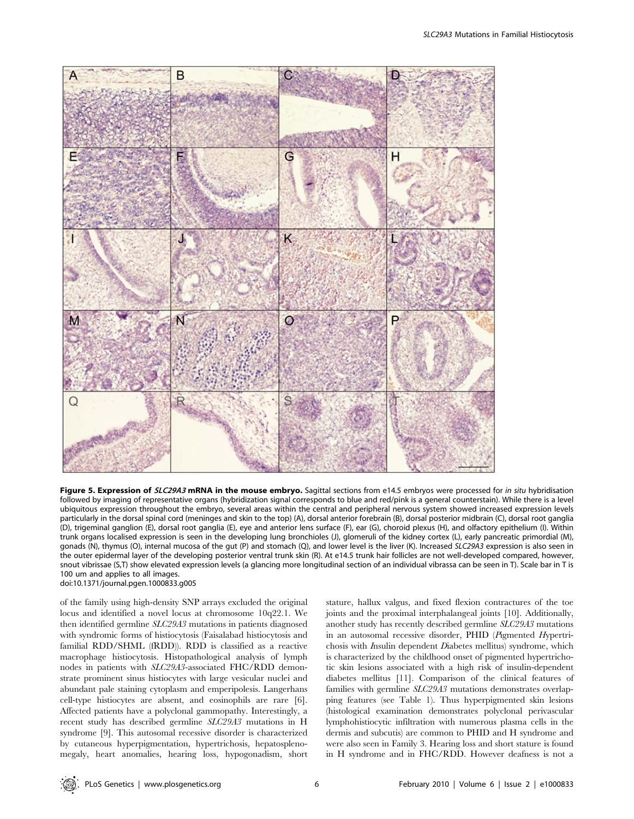

Figure 5. Expression of SLC29A3 mRNA in the mouse embryo. Sagittal sections from e14.5 embryos were processed for in situ hybridisation followed by imaging of representative organs (hybridization signal corresponds to blue and red/pink is a general counterstain). While there is a level ubiquitous expression throughout the embryo, several areas within the central and peripheral nervous system showed increased expression levels particularly in the dorsal spinal cord (meninges and skin to the top) (A), dorsal anterior forebrain (B), dorsal posterior midbrain (C), dorsal root ganglia (D), trigeminal ganglion (E), dorsal root ganglia (E), eye and anterior lens surface (F), ear (G), choroid plexus (H), and olfactory epithelium (I). Within trunk organs localised expression is seen in the developing lung bronchioles (J), glomeruli of the kidney cortex (L), early pancreatic primordial (M), gonads (N), thymus (O), internal mucosa of the gut (P) and stomach (Q), and lower level is the liver (K). Increased SLC29A3 expression is also seen in the outer epidermal layer of the developing posterior ventral trunk skin (R). At e14.5 trunk hair follicles are not well-developed compared, however, snout vibrissae (S,T) show elevated expression levels (a glancing more longitudinal section of an individual vibrassa can be seen in T). Scale bar in T is 100 um and applies to all images. doi:10.1371/journal.pgen.1000833.g005

of the family using high-density SNP arrays excluded the original locus and identified a novel locus at chromosome 10q22.1. We then identified germline SLC29A3 mutations in patients diagnosed with syndromic forms of histiocytosis (Faisalabad histiocytosis and familial RDD/SHML (fRDD)). RDD is classified as a reactive macrophage histiocytosis. Histopathological analysis of lymph nodes in patients with SLC29A3-associated FHC/RDD demonstrate prominent sinus histiocytes with large vesicular nuclei and abundant pale staining cytoplasm and emperipolesis. Langerhans cell-type histiocytes are absent, and eosinophils are rare [6]. Affected patients have a polyclonal gammopathy. Interestingly, a recent study has described germline SLC29A3 mutations in H syndrome [9]. This autosomal recessive disorder is characterized by cutaneous hyperpigmentation, hypertrichosis, hepatosplenomegaly, heart anomalies, hearing loss, hypogonadism, short

stature, hallux valgus, and fixed flexion contractures of the toe joints and the proximal interphalangeal joints [10]. Additionally, another study has recently described germline SLC29A3 mutations in an autosomal recessive disorder, PHID (Pigmented Hypertrichosis with Insulin dependent Diabetes mellitus) syndrome, which is characterized by the childhood onset of pigmented hypertrichotic skin lesions associated with a high risk of insulin-dependent diabetes mellitus [11]. Comparison of the clinical features of families with germline SLC29A3 mutations demonstrates overlapping features (see Table 1). Thus hyperpigmented skin lesions (histological examination demonstrates polyclonal perivascular lymphohistiocytic infiltration with numerous plasma cells in the dermis and subcutis) are common to PHID and H syndrome and were also seen in Family 3. Hearing loss and short stature is found in H syndrome and in FHC/RDD. However deafness is not a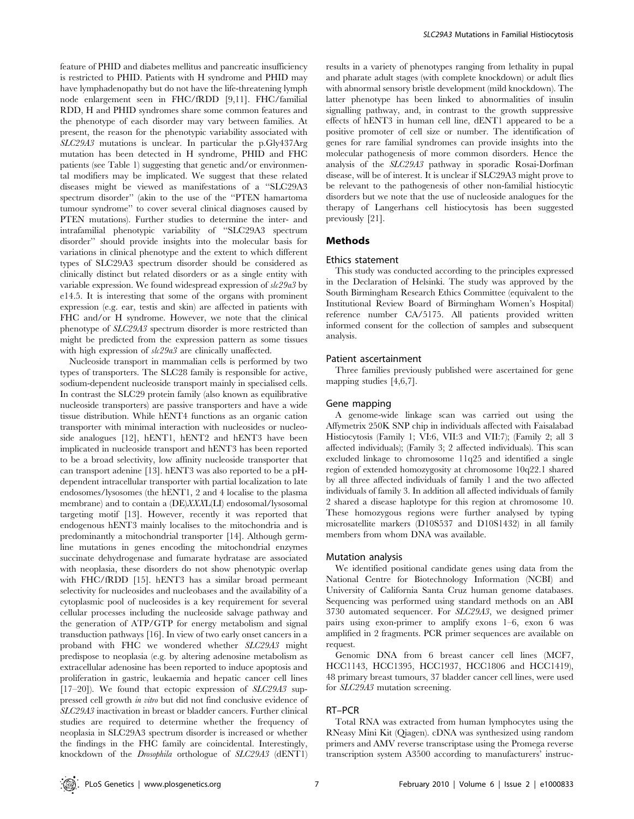feature of PHID and diabetes mellitus and pancreatic insufficiency is restricted to PHID. Patients with H syndrome and PHID may have lymphadenopathy but do not have the life-threatening lymph node enlargement seen in FHC/fRDD [9,11]. FHC/familial RDD, H and PHID syndromes share some common features and the phenotype of each disorder may vary between families. At present, the reason for the phenotypic variability associated with SLC29A3 mutations is unclear. In particular the p.Gly437Arg mutation has been detected in H syndrome, PHID and FHC patients (see Table 1) suggesting that genetic and/or environmental modifiers may be implicated. We suggest that these related diseases might be viewed as manifestations of a ''SLC29A3 spectrum disorder'' (akin to the use of the ''PTEN hamartoma tumour syndrome'' to cover several clinical diagnoses caused by PTEN mutations). Further studies to determine the inter- and intrafamilial phenotypic variability of ''SLC29A3 spectrum disorder'' should provide insights into the molecular basis for variations in clinical phenotype and the extent to which different types of SLC29A3 spectrum disorder should be considered as clinically distinct but related disorders or as a single entity with variable expression. We found widespread expression of  $\delta k^2/9a^3$  by e14.5. It is interesting that some of the organs with prominent expression (e.g. ear, testis and skin) are affected in patients with FHC and/or H syndrome. However, we note that the clinical phenotype of SLC29A3 spectrum disorder is more restricted than might be predicted from the expression pattern as some tissues with high expression of  $\frac{slc29a3}{}$  are clinically unaffected.

Nucleoside transport in mammalian cells is performed by two types of transporters. The SLC28 family is responsible for active, sodium-dependent nucleoside transport mainly in specialised cells. In contrast the SLC29 protein family (also known as equilibrative nucleoside transporters) are passive transporters and have a wide tissue distribution. While hENT4 functions as an organic cation transporter with minimal interaction with nucleosides or nucleoside analogues [12], hENT1, hENT2 and hENT3 have been implicated in nucleoside transport and hENT3 has been reported to be a broad selectivity, low affinity nucleoside transporter that can transport adenine [13]. hENT3 was also reported to be a pHdependent intracellular transporter with partial localization to late endosomes/lysosomes (the hENT1, 2 and 4 localise to the plasma membrane) and to contain a (DE)XXXL(LI) endosomal/lysosomal targeting motif [13]. However, recently it was reported that endogenous hENT3 mainly localises to the mitochondria and is predominantly a mitochondrial transporter [14]. Although germline mutations in genes encoding the mitochondrial enzymes succinate dehydrogenase and fumarate hydratase are associated with neoplasia, these disorders do not show phenotypic overlap with FHC/fRDD [15]. hENT3 has a similar broad permeant selectivity for nucleosides and nucleobases and the availability of a cytoplasmic pool of nucleosides is a key requirement for several cellular processes including the nucleoside salvage pathway and the generation of ATP/GTP for energy metabolism and signal transduction pathways [16]. In view of two early onset cancers in a proband with FHC we wondered whether SLC29A3 might predispose to neoplasia (e.g. by altering adenosine metabolism as extracellular adenosine has been reported to induce apoptosis and proliferation in gastric, leukaemia and hepatic cancer cell lines [17-20]). We found that ectopic expression of SLC29A3 suppressed cell growth in vitro but did not find conclusive evidence of SLC29A3 inactivation in breast or bladder cancers. Further clinical studies are required to determine whether the frequency of neoplasia in SLC29A3 spectrum disorder is increased or whether the findings in the FHC family are coincidental. Interestingly, knockdown of the Drosophila orthologue of SLC29A3 (dENT1)

results in a variety of phenotypes ranging from lethality in pupal and pharate adult stages (with complete knockdown) or adult flies with abnormal sensory bristle development (mild knockdown). The latter phenotype has been linked to abnormalities of insulin signalling pathway, and, in contrast to the growth suppressive effects of hENT3 in human cell line, dENT1 appeared to be a positive promoter of cell size or number. The identification of genes for rare familial syndromes can provide insights into the molecular pathogenesis of more common disorders. Hence the analysis of the SLC29A3 pathway in sporadic Rosai-Dorfman disease, will be of interest. It is unclear if SLC29A3 might prove to be relevant to the pathogenesis of other non-familial histiocytic disorders but we note that the use of nucleoside analogues for the therapy of Langerhans cell histiocytosis has been suggested previously [21].

## Methods

### Ethics statement

This study was conducted according to the principles expressed in the Declaration of Helsinki. The study was approved by the South Birmingham Research Ethics Committee (equivalent to the Institutional Review Board of Birmingham Women's Hospital) reference number CA/5175. All patients provided written informed consent for the collection of samples and subsequent analysis.

#### Patient ascertainment

Three families previously published were ascertained for gene mapping studies [4,6,7].

#### Gene mapping

A genome-wide linkage scan was carried out using the Affymetrix 250K SNP chip in individuals affected with Faisalabad Histiocytosis (Family 1; VI:6, VII:3 and VII:7); (Family 2; all 3 affected individuals); (Family 3; 2 affected individuals). This scan excluded linkage to chromosome 11q25 and identified a single region of extended homozygosity at chromosome 10q22.1 shared by all three affected individuals of family 1 and the two affected individuals of family 3. In addition all affected individuals of family 2 shared a disease haplotype for this region at chromosome 10. These homozygous regions were further analysed by typing microsatellite markers (D10S537 and D10S1432) in all family members from whom DNA was available.

#### Mutation analysis

We identified positional candidate genes using data from the National Centre for Biotechnology Information (NCBI) and University of California Santa Cruz human genome databases. Sequencing was performed using standard methods on an ABI 3730 automated sequencer. For SLC29A3, we designed primer pairs using exon-primer to amplify exons 1–6, exon 6 was amplified in 2 fragments. PCR primer sequences are available on request.

Genomic DNA from 6 breast cancer cell lines (MCF7, HCC1143, HCC1395, HCC1937, HCC1806 and HCC1419), 48 primary breast tumours, 37 bladder cancer cell lines, were used for SLC29A3 mutation screening.

## RT–PCR

Total RNA was extracted from human lymphocytes using the RNeasy Mini Kit (Qiagen). cDNA was synthesized using random primers and AMV reverse transcriptase using the Promega reverse transcription system A3500 according to manufacturers' instruc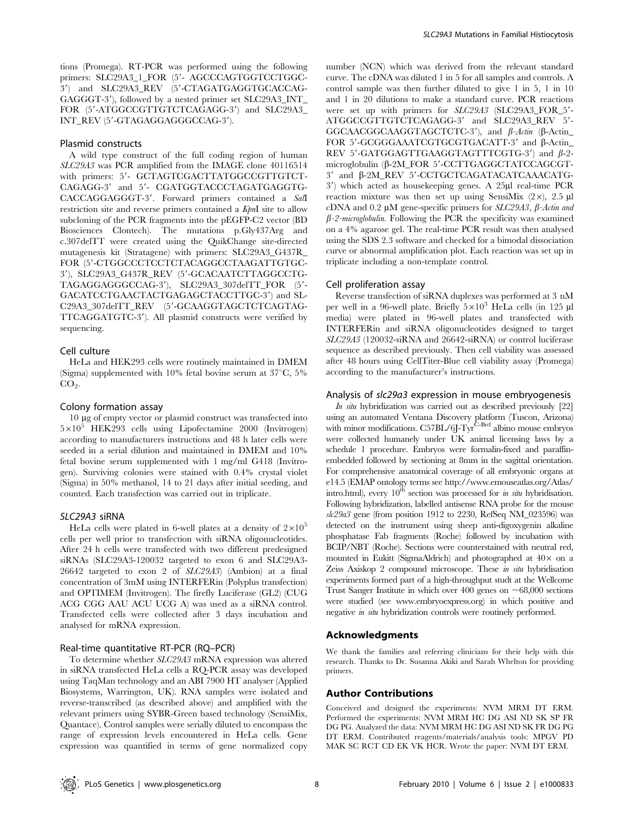tions (Promega). RT-PCR was performed using the following primers: SLC29A3\_1\_FOR (5'- AGCCCAGTGGTCCTGGC-3') and SLC29A3\_REV (5'-CTAGATGAGGTGCACCAG-GAGGGT-3'), followed by a nested primer set SLC29A3\_INT\_ FOR (5'-ATGGCCGTTGTCTCAGAGG-3') and SLC29A3\_ INT\_REV (5'-GTAGAGGAGGCCAG-3').

#### Plasmid constructs

A wild type construct of the full coding region of human SLC29A3 was PCR amplified from the IMAGE clone 40116514 with primers: 5'- GCTAGTCGACTTATGGCCGTTGTCT-CAGAGG-3' and 5'- CGATGGTACCCTAGATGAGGTG-CACCAGGAGGGT-3'. Forward primers contained a Sall restriction site and reverse primers contained a KpnI site to allow subcloning of the PCR fragments into the pEGFP-C2 vector (BD Biosciences Clontech). The mutations p.Gly437Arg and c.307delTT were created using the QuikChange site-directed mutagenesis kit (Stratagene) with primers: SLC29A3\_G437R\_ FOR (5'-CTGGCCCTCCTCTACAGGCCTAAGATTGTGC-3'), SLC29A3\_G437R\_REV (5'-GCACAATCTTAGGCCTG-TAGAGGAGGGCCAG-3'), SLC29A3\_307delTT\_FOR (5'-GACATCCTGAACTACTGAGAGCTACCTTGC-3') and SL-C29A3\_307delTT\_REV (5'-GCAAGGTAGCTCTCAGTAG-TTCAGGATGTC-3'). All plasmid constructs were verified by sequencing.

#### Cell culture

HeLa and HEK293 cells were routinely maintained in DMEM (Sigma) supplemented with  $10\%$  fetal bovine serum at  $37^{\circ}$ C,  $5\%$  $CO<sub>2</sub>$ .

#### Colony formation assay

10 mg of empty vector or plasmid construct was transfected into  $5\times10^5$  HEK293 cells using Lipofectamine 2000 (Invitrogen) according to manufacturers instructions and 48 h later cells were seeded in a serial dilution and maintained in DMEM and 10% fetal bovine serum supplemented with 1 mg/ml G418 (Invitrogen). Surviving colonies were stained with 0.4% crystal violet (Sigma) in 50% methanol, 14 to 21 days after initial seeding, and counted. Each transfection was carried out in triplicate.

#### SLC29A3 siRNA

HeLa cells were plated in 6-well plates at a density of  $2\times10^{5}$ cells per well prior to transfection with siRNA oligonucleotides. After 24 h cells were transfected with two different predesigned siRNAs (SLC29A3-120032 targeted to exon 6 and SLC29A3- 26642 targeted to exon 2 of SLC29A3) (Ambion) at a final concentration of 3mM using INTERFERin (Polyplus transfection) and OPTIMEM (Invitrogen). The firefly Luciferase (GL2) (CUG ACG CGG AAU ACU UCG A) was used as a siRNA control. Transfected cells were collected after 3 days incubation and analysed for mRNA expression.

#### Real-time quantitative RT-PCR (RQ–PCR)

To determine whether SLC29A3 mRNA expression was altered in siRNA transfected HeLa cells a RQ-PCR assay was developed using TaqMan technology and an ABI 7900 HT analyser (Applied Biosystems, Warrington, UK). RNA samples were isolated and reverse-transcribed (as described above) and amplified with the relevant primers using SYBR-Green based technology (SensiMix, Quantace). Control samples were serially diluted to encompass the range of expression levels encountered in HeLa cells. Gene expression was quantified in terms of gene normalized copy number (NCN) which was derived from the relevant standard curve. The cDNA was diluted 1 in 5 for all samples and controls. A control sample was then further diluted to give 1 in 5, 1 in 10 and 1 in 20 dilutions to make a standard curve. PCR reactions were set up with primers for  $SLC29A3$  (SLC29A3\_FOR\_5'-ATGGCCGTTGTCTCAGAGG-3' and SLC29A3\_REV 5'-GGCAACGGCAAGGTAGCTCTC-3'), and  $\beta$ -Actin ( $\beta$ -Actin FOR 5'-GCGGGAAATCGTGCGTGACATT-3' and  $\beta$ -Actin REV 5'-GATGGAGTTGAAGGTAGTTTCGTG-3') and  $\beta$ -2microglobulin (β-2M\_FOR 5'-CCTTGAGGCTATCCAGCGT-3' and β-2M\_REV 5'-CCTGCTCAGATACATCAAACATG- $3'$ ) which acted as housekeeping genes. A  $25\mu$ l real-time PCR reaction mixture was then set up using SensiMix  $(2\times)$ , 2.5 µl cDNA and 0.2  $\mu$ M gene-specific primers for SLC29A3,  $\beta$ -Actin and  $\beta$ -2-microglobulin. Following the PCR the specificity was examined on a 4% agarose gel. The real-time PCR result was then analysed using the SDS 2.3 software and checked for a bimodal dissociation curve or abnormal amplification plot. Each reaction was set up in triplicate including a non-template control.

#### Cell proliferation assay

Reverse transfection of siRNA duplexes was performed at 3 nM per well in a 96-well plate. Briefly  $5\times10^3$  HeLa cells (in 125 µl media) were plated in 96-well plates and transfected with INTERFERin and siRNA oligonucleotides designed to target SLC29A3 (120032-siRNA and 26642-siRNA) or control luciferase sequence as described previously. Then cell viability was assessed after 48 hours using CellTiter-Blue cell viability assay (Promega) according to the manufacturer's instructions.

#### Analysis of slc29a3 expression in mouse embryogenesis

In situ hybridization was carried out as described previously  $[22]$ using an automated Ventana Discovery platform (Tuscon, Arizona) with minor modifications. C57BL/6J-Tyr<sup>C-Brd</sup> albino mouse embryos were collected humanely under UK animal licensing laws by a schedule 1 procedure. Embryos were formalin-fixed and paraffinembedded followed by sectioning at 8mm in the sagittal orientation. For comprehensive anatomical coverage of all embryonic organs at e14.5 (EMAP ontology terms see http://www.emouseatlas.org/Atlas/ intro.html), every  $10^{th}$  section was processed for *in situ* hybridisation. Following hybridization, labelled antisense RNA probe for the mouse slc29a3 gene (from position 1912 to 2230, RefSeq NM\_023596) was detected on the instrument using sheep anti-digoxygenin alkaline phosphatase Fab fragments (Roche) followed by incubation with BCIP/NBT (Roche). Sections were counterstained with neutral red, mounted in Eukitt (SigmaAldrich) and photographed at  $40\times$  on a Zeiss Axiskop 2 compound microscope. These in situ hybridisation experiments formed part of a high-throughput studt at the Wellcome Trust Sanger Institute in which over 400 genes on  $\sim 68,000$  sections were studied (see www.embryoexpress.org) in which positive and negative in situ hybridization controls were routinely performed.

#### Acknowledgments

We thank the families and referring clinicians for their help with this research. Thanks to Dr. Susanna Akiki and Sarah Whelton for providing primers.

## Author Contributions

Conceived and designed the experiments: NVM MRM DT ERM. Performed the experiments: NVM MRM HC DG ASI ND SK SP FR DG PG. Analyzed the data: NVM MRM HC DG ASI ND SK FR DG PG DT ERM. Contributed reagents/materials/analysis tools: MPGV PD MAK SC RCT CD EK VK HCR. Wrote the paper: NVM DT ERM.